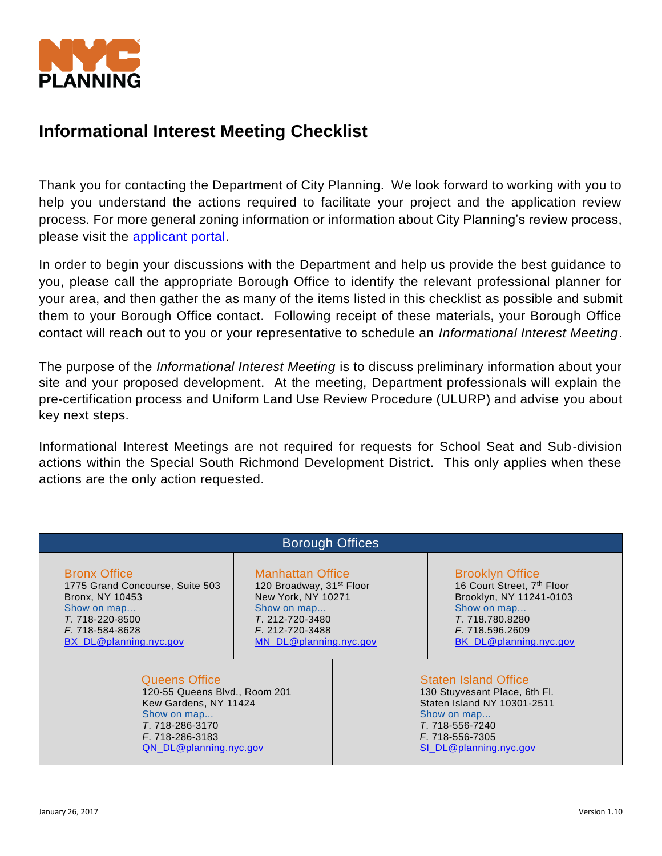

# **Informational Interest Meeting Checklist**

Thank you for contacting the Department of City Planning. We look forward to working with you to help you understand the actions required to facilitate your project and the application review process. For more general zoning information or information about City Planning's review process, please visit the [applicant portal.](http://www1.nyc.gov/site/planning/applicants/applicant-portal/application-process.page)

In order to begin your discussions with the Department and help us provide the best guidance to you, please call the appropriate Borough Office to identify the relevant professional planner for your area, and then gather the as many of the items listed in this checklist as possible and submit them to your Borough Office contact. Following receipt of these materials, your Borough Office contact will reach out to you or your representative to schedule an *Informational Interest Meeting*.

The purpose of the *Informational Interest Meeting* is to discuss preliminary information about your site and your proposed development. At the meeting, Department professionals will explain the pre-certification process and Uniform Land Use Review Procedure (ULURP) and advise you about key next steps.

Informational Interest Meetings are not required for requests for School Seat and Sub-division actions within the Special South Richmond Development District. This only applies when these actions are the only action requested.

| <b>Borough Offices</b>          |                                      |                               |                               |
|---------------------------------|--------------------------------------|-------------------------------|-------------------------------|
| <b>Bronx Office</b>             | <b>Manhattan Office</b>              |                               | <b>Brooklyn Office</b>        |
| 1775 Grand Concourse, Suite 503 | 120 Broadway, 31 <sup>st</sup> Floor |                               | 16 Court Street, 7th Floor    |
| Bronx, NY 10453                 | New York, NY 10271                   |                               | Brooklyn, NY 11241-0103       |
| Show on map                     | Show on map                          |                               | Show on map                   |
| T. 718-220-8500                 | T. 212-720-3480                      |                               | T. 718.780.8280               |
| F. 718-584-8628                 | F. 212-720-3488                      |                               | F. 718.596.2609               |
| BX DL@planning.nyc.gov          | MN DL@planning.nyc.gov               |                               | <b>BK DL@planning.nyc.gov</b> |
| <b>Queens Office</b>            |                                      | <b>Staten Island Office</b>   |                               |
| 120-55 Queens Blvd., Room 201   |                                      | 130 Stuyvesant Place, 6th Fl. |                               |
| Kew Gardens, NY 11424           |                                      | Staten Island NY 10301-2511   |                               |
| Show on map                     |                                      | Show on map                   |                               |
| T. 718-286-3170                 |                                      | T. 718-556-7240               |                               |
| F. 718-286-3183                 |                                      | F. 718-556-7305               |                               |
| QN_DL@planning.nyc.gov          |                                      | SI DL@planning.nyc.gov        |                               |